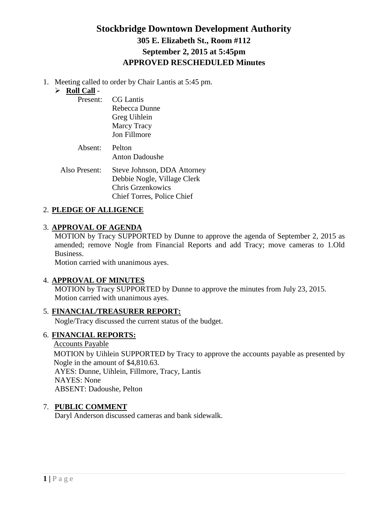## **Stockbridge Downtown Development Authority 305 E. Elizabeth St., Room #112 September 2, 2015 at 5:45pm APPROVED RESCHEDULED Minutes**

1. Meeting called to order by Chair Lantis at 5:45 pm.

### **Roll Call** -

| Present:    | CG Lantis<br>Rebecca Dunne<br>Greg Uihlein<br><b>Marcy Tracy</b><br>Jon Fillmore |
|-------------|----------------------------------------------------------------------------------|
| Absent:     | Pelton<br><b>Anton Dadoushe</b>                                                  |
| so Present: | Steve Johnson, DDA Att                                                           |

Also Present: Steve Johnson, DDA Attorney Debbie Nogle, Village Clerk Chris Grzenkowics Chief Torres, Police Chief

### 2. **PLEDGE OF ALLIGENCE**

### 3. **APPROVAL OF AGENDA**

MOTION by Tracy SUPPORTED by Dunne to approve the agenda of September 2, 2015 as amended; remove Nogle from Financial Reports and add Tracy; move cameras to 1.Old Business.

Motion carried with unanimous ayes.

### 4. **APPROVAL OF MINUTES**

MOTION by Tracy SUPPORTED by Dunne to approve the minutes from July 23, 2015. Motion carried with unanimous ayes.

### 5. **FINANCIAL/TREASURER REPORT:**

Nogle/Tracy discussed the current status of the budget.

### 6. **FINANCIAL REPORTS:**

Accounts Payable MOTION by Uihlein SUPPORTED by Tracy to approve the accounts payable as presented by Nogle in the amount of \$4,810.63. AYES: Dunne, Uihlein, Fillmore, Tracy, Lantis NAYES: None ABSENT: Dadoushe, Pelton

### 7. **PUBLIC COMMENT**

Daryl Anderson discussed cameras and bank sidewalk.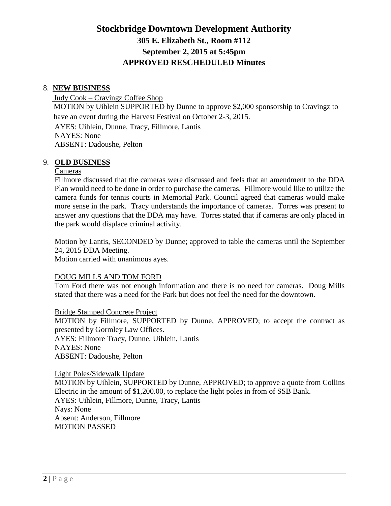# **Stockbridge Downtown Development Authority 305 E. Elizabeth St., Room #112 September 2, 2015 at 5:45pm APPROVED RESCHEDULED Minutes**

#### 8. **NEW BUSINESS**

Judy Cook – Cravingz Coffee Shop MOTION by Uihlein SUPPORTED by Dunne to approve \$2,000 sponsorship to Cravingz to have an event during the Harvest Festival on October 2-3, 2015. AYES: Uihlein, Dunne, Tracy, Fillmore, Lantis NAYES: None ABSENT: Dadoushe, Pelton

#### 9. **OLD BUSINESS**

#### Cameras

 Fillmore discussed that the cameras were discussed and feels that an amendment to the DDA Plan would need to be done in order to purchase the cameras. Fillmore would like to utilize the camera funds for tennis courts in Memorial Park. Council agreed that cameras would make more sense in the park. Tracy understands the importance of cameras. Torres was present to answer any questions that the DDA may have. Torres stated that if cameras are only placed in the park would displace criminal activity.

Motion by Lantis, SECONDED by Dunne; approved to table the cameras until the September 24, 2015 DDA Meeting.

Motion carried with unanimous ayes.

#### DOUG MILLS AND TOM FORD

Tom Ford there was not enough information and there is no need for cameras. Doug Mills stated that there was a need for the Park but does not feel the need for the downtown.

Bridge Stamped Concrete Project

MOTION by Fillmore, SUPPORTED by Dunne, APPROVED; to accept the contract as presented by Gormley Law Offices. AYES: Fillmore Tracy, Dunne, Uihlein, Lantis NAYES: None ABSENT: Dadoushe, Pelton

#### Light Poles/Sidewalk Update

MOTION by Uihlein, SUPPORTED by Dunne, APPROVED; to approve a quote from Collins Electric in the amount of \$1,200.00, to replace the light poles in from of SSB Bank. AYES: Uihlein, Fillmore, Dunne, Tracy, Lantis Nays: None Absent: Anderson, Fillmore MOTION PASSED